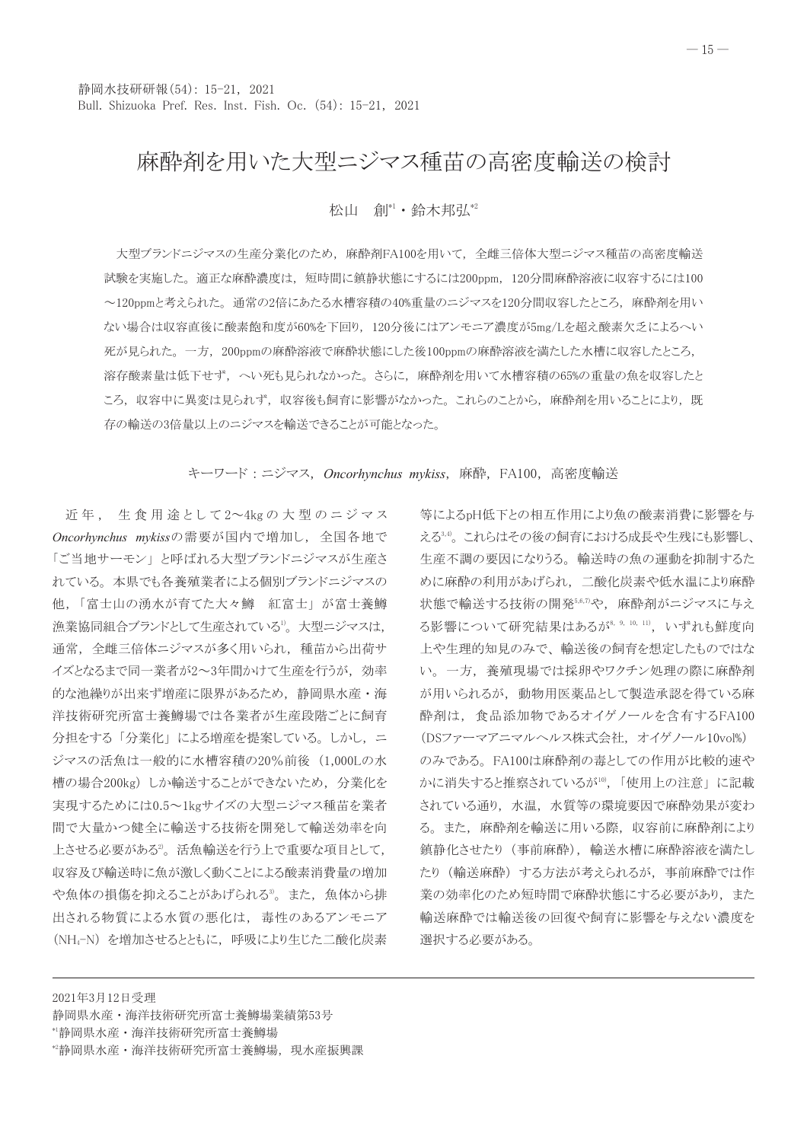# 麻酔剤を用いた大型ニジマス種苗の高密度輸送の検討

松山 創", 鈴木邦弘"

大型ブランドニジマスの生産分業化のため、麻酔剤FA100を用いて、全雌三倍体大型ニジマス種苗の高密度輸送 試験を実施した。適正な麻酔濃度は、短時間に鎮静状態にするには200ppm、120分間麻酔溶液に収容するには100 ~120ppmと考えられた。通常の2倍にあたる水槽容積の40%重量のニジマスを120分間収容したところ、麻酔剤を用い ない場合は収容直後に酸素飽和度が60%を下回り、120分後にはアンモニア濃度が5mg/Lを超え酸素欠乏によるへい 死が見られた。一方,200ppmの麻酔溶液で麻酔状態にした後100ppmの麻酔溶液を満たした水槽に収容したところ, 溶存酸素量は低下せず、へい死も見られなかった。さらに、麻酔剤を用いて水槽容積の65%の重量の魚を収容したと ころ、収容中に異変は見られず、収容後も飼育に影響がなかった。これらのことから、麻酔剤を用いることにより、既 存の輸送の3倍量以上のニジマスを輸送できることが可能となった。

キーワード: ニジマス, Oncorhynchus mykiss, 麻酔, FA100, 高密度輸送

近年, 生食用途として2~4kgの大型のニジマス Oncorhynchus mykissの需要が国内で増加し、全国各地で 「ご当地サーモン」と呼ばれる大型ブランドニジマスが生産さ れている。本県でも各養殖業者による個別ブランドニジマスの 他,「富士山の湧水が育てた大々鱒 紅富士」が富士養鱒 漁業協同組合ブランドとして生産されている<sup>1</sup>。大型ニジマスは, 通常、全雌三倍体ニジマスが多く用いられ、種苗から出荷サ イズとなるまで同一業者が2~3年間かけて生産を行うが、効率 的な池繰りが出来ず増産に限界があるため、静岡県水産·海 洋技術研究所富士養鱒場では各業者が生産段階ごとに飼育 分担をする「分業化」による増産を提案している。しかし、ニ ジマスの活魚は一般的に水槽容積の20%前後 (1,000Lの水 槽の場合200kg) しか輸送することができないため、分業化を 実現するためには0.5~1kgサイズの大型ニジマス種苗を業者 間で大量かつ健全に輸送する技術を開発して輸送効率を向 上させる必要がある2。活魚輸送を行う上で重要な項目として、 収容及び輸送時に魚が激しく動くことによる酸素消費量の増加 や魚体の損傷を抑えることがあげられる。。また、魚体から排 出される物質による水質の悪化は、毒性のあるアンモニア (NH<sub>4</sub>-N) を増加させるとともに、呼吸により生じた二酸化炭素

等によるpH低下との相互作用により魚の酸素消費に影響を与 える¾。これらはその後の飼育における成長や生残にも影響し、 生産不調の要因になりうる。輸送時の魚の運動を抑制するた めに麻酔の利用があげられ、二酸化炭素や低水温により麻酔 状態で輸送する技術の開発5,6,7)や、麻酔剤がニジマスに与え る影響について研究結果はあるが8, 9, 10, 11), いずれも鮮度向 上や生理的知見のみで、輸送後の飼育を想定したものではな い。一方、養殖現場では採卵やワクチン処理の際に麻酔剤 が用いられるが、動物用医薬品として製造承認を得ている麻 酔剤は、食品添加物であるオイゲノールを含有するFA100 (DSファーマアニマルヘルス株式会社,オイゲノール10vol%) のみである。 FA100は麻酔剤の毒としての作用が比較的速や かに消失すると推察されているが10,「使用上の注意」に記載 されている通り、水温、水質等の環境要因で麻酔効果が変わ る。また、麻酔剤を輸送に用いる際、収容前に麻酔剤により 鎮静化させたり (事前麻酔), 輸送水槽に麻酔溶液を満たし たり (輸送麻酔) する方法が考えられるが、事前麻酔では作 業の効率化のため短時間で麻酔状態にする必要があり、また 輸送麻酔では輸送後の回復や飼育に影響を与えない濃度を 選択する必要がある。

2021年3月12日受理

\*2静岡県水産·海洋技術研究所富士養鱒場, 現水産振興課

静岡県水産·海洋技術研究所富士養鱒場業績第53号 <sup>\*</sup>静岡県水産·海洋技術研究所富士養鱒場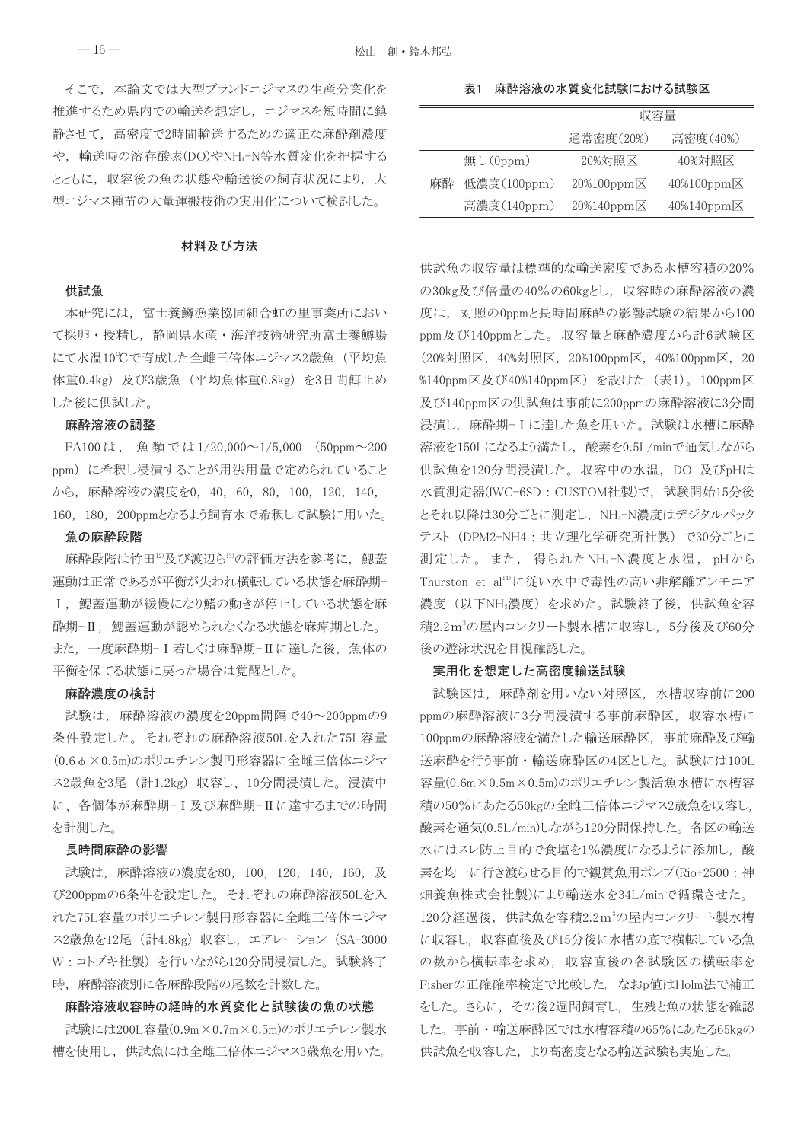そこで、本論文では大型ブランドニジマスの生産分業化を 推進するため県内での輸送を想定し、ニジマスを短時間に鎮 静させて、高密度で2時間輸送するための適正な麻酔剤濃度 や、輸送時の溶存酸素(DO)やNH4-N等水質変化を把握する とともに、収容後の魚の状態や輸送後の飼育状況により、大 型ニジマス種苗の大量運搬技術の実用化について検討した。

#### 材料及び方法

### 供試魚

本研究には、富士養鱒漁業協同組合虹の里事業所におい て採卵・授精し、静岡県水産・海洋技術研究所富士養鱒場 にて水温10℃で育成した全雌三倍体ニジマス2歳魚(平均魚 体重0.4kg) 及び3歳魚 (平均魚体重0.8kg) を3日間餌止め した後に供試した。

#### 麻酔溶液の調整

FA100は, 魚類では1/20,000~1/5,000 (50ppm~200 ppm)に希釈し浸漬することが用法用量で定められていること から、麻酔溶液の濃度を0, 40, 60, 80, 100, 120, 140, 160, 180, 200ppmとなるよう飼育水で希釈して試験に用いた。

#### 魚の麻酔段階

麻酔段階は竹田12及び渡辺ら13の評価方法を参考に、鰓蓋 運動は正常であるが平衡が失われ横転している状態を麻酔期-Ⅰ, 鰓蓋運動が緩慢になり鰭の動きが停止している状態を麻 酔期-Ⅱ, 鰓蓋運動が認められなくなる状態を麻痺期とした。 また、一度麻酔期-I若しくは麻酔期-IIに達した後、魚体の 平衡を保てる状態に戻った場合は覚醒とした。

# 麻酔濃度の検討

試験は、麻酔溶液の濃度を20ppm間隔で40~200ppmの9 条件設定した。それぞれの麻酔溶液50Lを入れた75L容量 (0.6φ×0.5m)のポリエチレン製円形容器に全雌三倍体ニジマ ス2歳魚を3尾 (計1.2kg) 収容し、10分間浸漬した。浸漬中 に、各個体が麻酔期-Ⅰ及び麻酔期-Ⅱに達するまでの時間 を計測した。

#### 長時間麻酔の影響

試験は、麻酔溶液の濃度を80, 100, 120, 140, 160, 及 び200ppmの6条件を設定した。それぞれの麻酔溶液50Lを入 れた75L容量のポリエチレン製円形容器に全雌三倍体ニジマ ス2歳魚を12尾 (計4.8kg) 収容し、エアレーション (SA-3000 W:コトブキ社製)を行いながら120分間浸漬した。試験終了 時、麻酔溶液別に各麻酔段階の尾数を計数した。

# 麻酔溶液収容時の経時的水質変化と試験後の魚の状態

試験には200L容量(0.9m×0.7m×0.5m)のポリエチレン製水 槽を使用し、供試魚には全雌三倍体ニジマス3歳魚を用いた。

表1 麻酔溶液の水質変化試験における試験区

|    |             | 収容量                       |                           |  |
|----|-------------|---------------------------|---------------------------|--|
|    |             | 通常密度(20%)                 | 高密度(40%)                  |  |
|    | 無し $(0ppm)$ | 20%対照区                    | 40%対照区                    |  |
| 麻酔 | 低濃度(100ppm) | $20\%100$ ppm $\boxtimes$ | $40\%100$ ppm $\boxtimes$ |  |
|    | 高濃度(140ppm) | $20\%140$ ppm $\times$    | 40%140ppm区                |  |

供試魚の収容量は標準的な輸送密度である水槽容積の20% の30kg及び倍量の40%の60kgとし、収容時の麻酔溶液の濃 度は、対照のOppmと長時間麻酔の影響試験の結果から100 ppm及び140ppmとした。収容量と麻酔濃度から計6試験区 (20%対照区, 40%対照区, 20%100ppm区, 40%100ppm区, 20 %140ppm区及び40%140ppm区) を設けた (表1)。100ppm区 及び140ppm区の供試魚は事前に200ppmの麻酔溶液に3分間 浸漬し、麻酔期-Iに達した魚を用いた。試験は水槽に麻酔 溶液を150Lになるよう満たし、酸素を0.5L/minで通気しながら 供試魚を120分間浸漬した。収容中の水温, DO 及びpHは 水質測定器(IWC-6SD: CUSTOM社製)で、試験開始15分後 とそれ以降は30分ごとに測定し、NH4-N濃度はデジタルパック テスト (DPM2-NH4: 共立理化学研究所社製)で30分ごとに 測定した。また、得られたNH4-N濃度と水温、pHから Thurston et al<sup>14)</sup>に従い水中で毒性の高い非解離アンモニア 濃度(以下NH3濃度)を求めた。試験終了後,供試魚を容 積2.2m3の屋内コンクリート製水槽に収容し、5分後及び60分 後の遊泳状況を目視確認した。

#### 実用化を想定した高密度輸送試験

試験区は、麻酔剤を用いない対照区、水槽収容前に200 ppmの麻酔溶液に3分間浸漬する事前麻酔区, 収容水槽に 100ppmの麻酔溶液を満たした輸送麻酔区, 事前麻酔及び輸 送麻酔を行う事前・輸送麻酔区の4区とした。 試験には100L 容量(0.6m×0.5m×0.5m)のポリエチレン製活魚水槽に水槽容 積の50%にあたる50kgの全雌三倍体ニジマス2歳魚を収容し, 酸素を通気(0.5L/min)しながら120分間保持した。各区の輸送 水にはスレ防止目的で食塩を1%濃度になるように添加し, 酸 素を均一に行き渡らせる目的で観賞魚用ポンプ(Rio+2500:神 畑養魚株式会社製)により輸送水を34L/minで循環させた。 120分経過後、供試魚を容積2.2m3の屋内コンクリート製水槽 に収容し、収容直後及び15分後に水槽の底で横転している魚 の数から横転率を求め、収容直後の各試験区の横転率を Fisherの正確確率検定で比較した。なおp値はHolm法で補正 をした。さらに、その後2週間飼育し、生残と魚の状態を確認 した。事前·輸送麻酔区では水槽容積の65%にあたる65kgの 供試魚を収容した、より高密度となる輸送試験も実施した。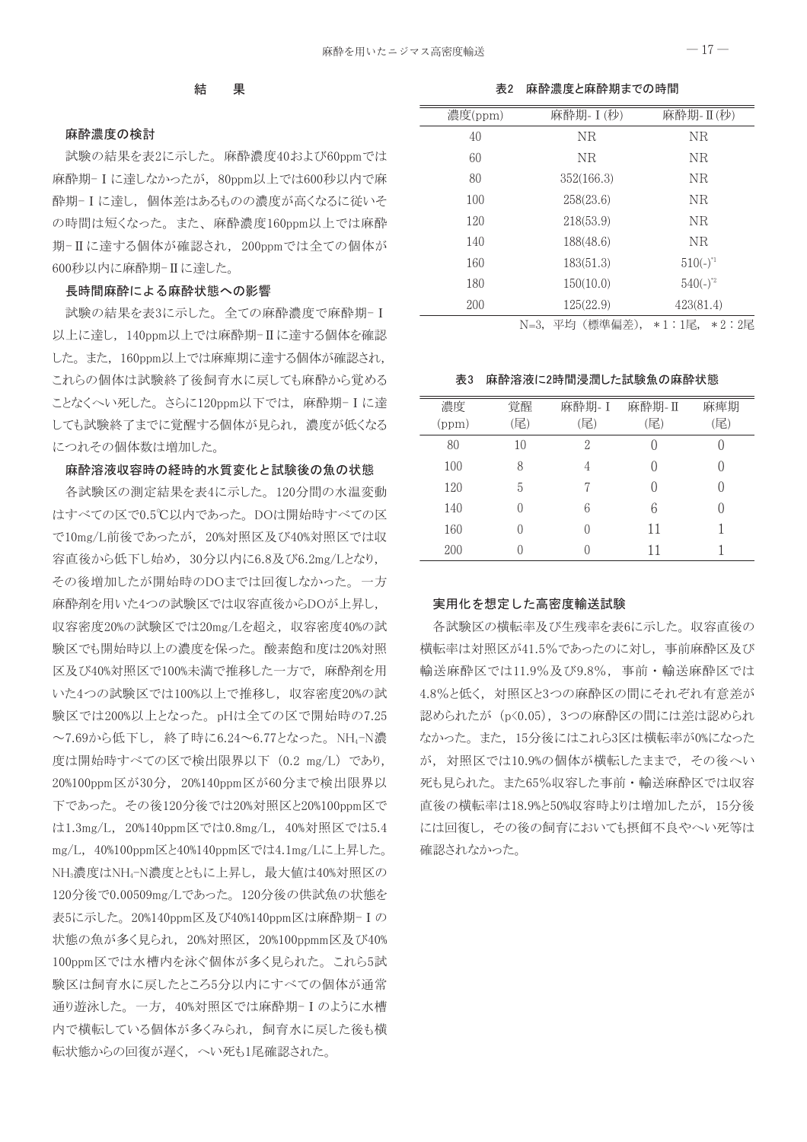## 表2 麻酔濃度と麻酔期までの時間

# 麻酔濃度の検討

試験の結果を表2に示した。麻酔濃度40および60ppmでは 麻酔期-Iに達しなかったが、80ppm以上では600秒以内で麻 酔期-Iに達し、個体差はあるものの濃度が高くなるに従いそ の時間は短くなった。また、麻酔濃度160ppm以上では麻酔 期-Ⅱに達する個体が確認され、200ppmでは全ての個体が 600秒以内に麻酔期-Ⅱに達した。

# 長時間麻酔による麻酔状態への影響

試験の結果を表3に示した。全ての麻酔濃度で麻酔期-I 以上に達し、140ppm以上では麻酔期-Ⅱに達する個体を確認 した。また、160ppm以上では麻痺期に達する個体が確認され, これらの個体は試験終了後飼育水に戻しても麻酔から覚める ことなくへい死した。 さらに120ppm以下では, 麻酔期−Ⅰに達 しても試験終了までに覚醒する個体が見られ、濃度が低くなる につれその個体数は増加した。

# 麻酔溶液収容時の経時的水質変化と試験後の魚の状態

各試験区の測定結果を表4に示した。120分間の水温変動 はすべての区で0.5℃以内であった。DOは開始時すべての区 で10mg/L前後であったが、20%対照区及び40%対照区では収 容直後から低下し始め、30分以内に6.8及び6.2mg/Lとなり、 その後増加したが開始時のDOまでは回復しなかった。一方 麻酔剤を用いた4つの試験区では収容直後からDOが上昇し, 収容密度20%の試験区では20mg/Lを超え、収容密度40%の試 験区でも開始時以上の濃度を保った。酸素飽和度は20%対照 区及び40%対照区で100%未満で推移した一方で、麻酔剤を用 いた4つの試験区では100%以上で推移し、収容密度20%の試 験区では200%以上となった。pHは全ての区で開始時の7.25 ~7.69から低下し、終了時に6.24~6.77となった。NH4-N濃 度は開始時すべての区で検出限界以下 (0.2 mg/L) であり, 20%100ppm区が30分, 20%140ppm区が60分まで検出限界以 下であった。その後120分後では20%対照区と20%100ppm区で は1.3mg/L, 20%140ppm区では0.8mg/L, 40%対照区では5.4 mg/L, 40%100ppm区と40%140ppm区では4.1mg/Lに上昇した。 NH3濃度はNH4-N濃度とともに上昇し、最大値は40%対照区の 120分後で0.00509mg/Lであった。120分後の供試魚の状態を 表5に示した。20%140ppm区及び40%140ppm区は麻酔期-Iの 状態の魚が多く見られ、20%対照区、20%100ppmm区及び40% 100ppm区では水槽内を泳ぐ個体が多く見られた。これら5試 験区は飼育水に戻したところ5分以内にすべての個体が通常 通り遊泳した。一方, 40%対照区では麻酔期-Iのように水槽 内で横転している個体が多くみられ、飼育水に戻した後も横 転状態からの回復が遅く、へい死も1尾確認された。

| 濃度(ppm) | 麻酔期- I (秒) | 麻酔期- II (秒)   |
|---------|------------|---------------|
| 40      | NR.        | NR            |
| 60      | NR.        | ΝR            |
| 80      | 352(166.3) | ΝR            |
| 100     | 258(23.6)  | ΝR            |
| 120     | 218(53.9)  | ΝR            |
| 140     | 188(48.6)  | NR            |
| 160     | 183(51.3)  | $510(-)^{1}$  |
| 180     | 150(10.0)  | $540(-)^{*2}$ |
| 200     | 125(22.9)  | 423(81.4)     |
|         |            |               |

N=3,平均 (標準偏差), \*1:1尾, \*2:2尾

表3 麻酔溶液に2時間浸潤した試験魚の麻酔状態

| 濃度<br>(ppm) | 覚醒<br>(尾) | 麻酔期- I<br>尾) | 麻酔期- II<br>(尾) | 麻痺期<br>(尾) |
|-------------|-----------|--------------|----------------|------------|
| 80          | 10        | 2            |                |            |
| 100         | 8         |              |                |            |
| 120         | 5         |              |                |            |
| 140         | 0         | 6            | 6              |            |
| 160         |           |              | 11             |            |
| 200         |           |              |                |            |

# 実用化を想定した高密度輸送試験

各試験区の横転率及び生残率を表6に示した。収容直後の 横転率は対照区が41.5%であったのに対し、事前麻酔区及び 輸送麻酔区では11.9%及び9.8%, 事前・輸送麻酔区では 4.8%と低く、対照区と3つの麻酔区の間にそれぞれ有意差が 認められたが (p<0.05), 3つの麻酔区の間には差は認められ なかった。また、15分後にはこれら3区は横転率が0%になった が、対照区では10.9%の個体が横転したままで、その後へい 死も見られた。また65%収容した事前·輸送麻酔区では収容 直後の横転率は18.9%と50%収容時よりは増加したが、15分後 には回復し、その後の飼育においても摂餌不良やへい死等は 確認されなかった。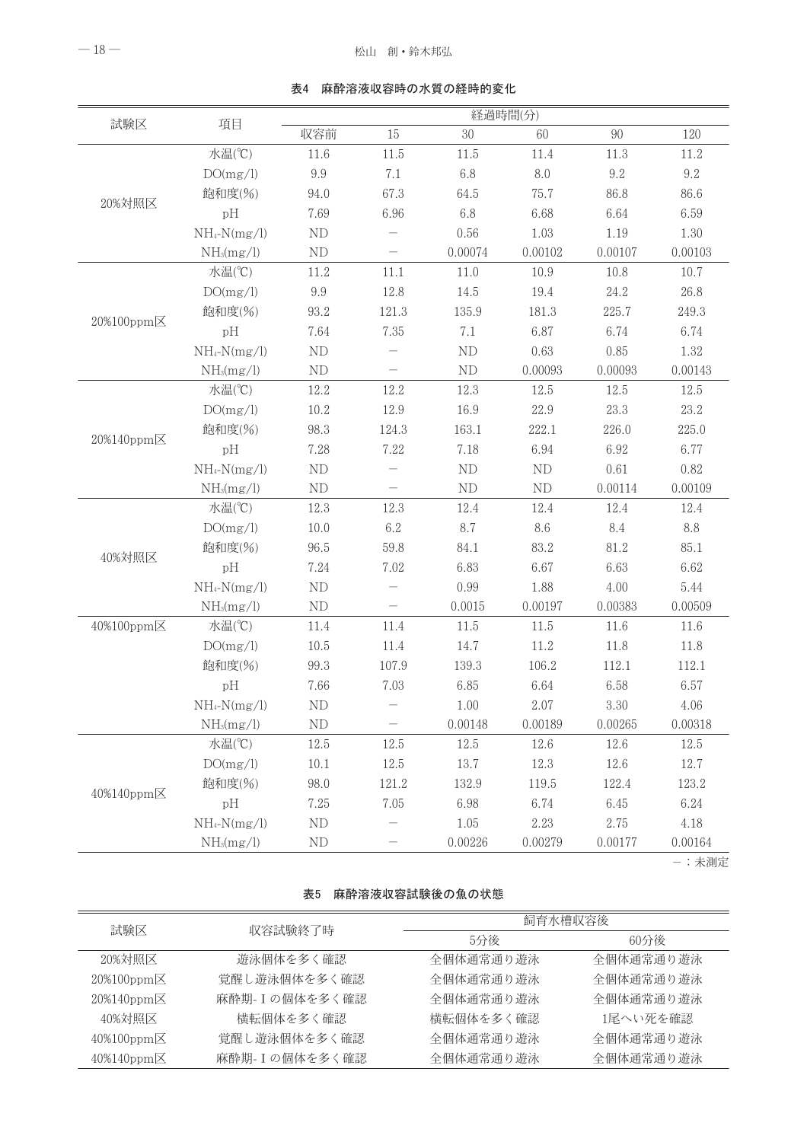| 試験区        | 項目                     | 経過時間(分)    |                          |          |            |         |         |
|------------|------------------------|------------|--------------------------|----------|------------|---------|---------|
|            |                        | 収容前        | 15                       | $30\,$   | 60         | 90      | 120     |
|            | 水温(°C)                 | 11.6       | 11.5                     | 11.5     | 11.4       | 11.3    | 11.2    |
|            | DO(mg/l)               | 9.9        | 7.1                      | 6.8      | $8.0\,$    | 9.2     | 9.2     |
| 20%対照区     | 飽和度(%)                 | 94.0       | 67.3                     | 64.5     | 75.7       | 86.8    | 86.6    |
|            | pH                     | 7.69       | 6.96                     | 6.8      | 6.68       | 6.64    | 6.59    |
|            | $NH_4-N(mg/l)$         | ND         |                          | 0.56     | 1.03       | 1.19    | 1.30    |
|            | NH <sub>3</sub> (mg/l) | ND         | -                        | 0.00074  | 0.00102    | 0.00107 | 0.00103 |
|            | 水温(°C)                 | 11.2       | 11.1                     | 11.0     | 10.9       | 10.8    | 10.7    |
|            | DO(mg/l)               | 9.9        | 12.8                     | 14.5     | 19.4       | 24.2    | 26.8    |
|            | 飽和度(%)                 | 93.2       | 121.3                    | 135.9    | 181.3      | 225.7   | 249.3   |
| 20%100ppm区 | pH                     | 7.64       | 7.35                     | 7.1      | 6.87       | 6.74    | 6.74    |
|            | $NH_4-N(mg/l)$         | $\rm ND$   |                          | ND       | 0.63       | 0.85    | 1.32    |
|            | NH <sub>3</sub> (mg/l) | ND         | $\overline{\phantom{0}}$ | ND       | 0.00093    | 0.00093 | 0.00143 |
|            | 水温(°C)                 | 12.2       | 12.2                     | 12.3     | 12.5       | 12.5    | 12.5    |
|            | DO(mg/l)               | 10.2       | 12.9                     | 16.9     | 22.9       | 23.3    | 23.2    |
|            | 飽和度(%)                 | 98.3       | 124.3                    | 163.1    | 222.1      | 226.0   | 225.0   |
| 20%140ppm区 | pH                     | 7.28       | 7.22                     | 7.18     | 6.94       | 6.92    | 6.77    |
|            | $NH_4-N(mg/l)$         | ND         |                          | ND       | ${\rm ND}$ | 0.61    | 0.82    |
|            | NH <sub>3</sub> (mg/l) | ND         | $\overline{\phantom{0}}$ | ND       | ND         | 0.00114 | 0.00109 |
|            | 水温(°C)                 | 12.3       | 12.3                     | 12.4     | 12.4       | 12.4    | 12.4    |
|            | DO(mg/l)               | 10.0       | 6.2                      | 8.7      | 8.6        | 8.4     | 8.8     |
|            | 飽和度(%)                 | 96.5       | 59.8                     | 84.1     | 83.2       | 81.2    | 85.1    |
| 40%対照区     | pH                     | 7.24       | 7.02                     | 6.83     | 6.67       | 6.63    | 6.62    |
|            | $NH_4-N(mg/l)$         | ND         |                          | 0.99     | 1.88       | 4.00    | 5.44    |
|            | NH <sub>3</sub> (mg/l) | ND         | $\qquad \qquad -$        | 0.0015   | 0.00197    | 0.00383 | 0.00509 |
| 40%100ppm区 | 水温(°C)                 | 11.4       | 11.4                     | $11.5\,$ | 11.5       | 11.6    | 11.6    |
|            | DO(mg/l)               | 10.5       | 11.4                     | 14.7     | 11.2       | 11.8    | 11.8    |
|            | 飽和度(%)                 | 99.3       | 107.9                    | 139.3    | 106.2      | 112.1   | 112.1   |
|            | pH                     | 7.66       | 7.03                     | 6.85     | 6.64       | 6.58    | 6.57    |
|            | $NH_4-N(mg/l)$         | ND         |                          | 1.00     | 2.07       | 3.30    | 4.06    |
|            | NH <sub>3</sub> (mg/l) | ND         |                          | 0.00148  | 0.00189    | 0.00265 | 0.00318 |
|            | 水温(°C)                 | 12.5       | 12.5                     | 12.5     | 12.6       | 12.6    | 12.5    |
|            | DO(mg/l)               | $10.1\,$   | 12.5                     | 13.7     | 12.3       | 12.6    | 12.7    |
|            | 飽和度(%)                 | 98.0       | 121.2                    | 132.9    | 119.5      | 122.4   | 123.2   |
| 40%140ppm区 | pH                     | 7.25       | 7.05                     | 6.98     | 6.74       | 6.45    | 6.24    |
|            | $NH_4-N(mg/l)$         | ND         |                          | 1.05     | 2.23       | 2.75    | 4.18    |
|            | NH <sub>3</sub> (mg/l) | ${\rm ND}$ |                          | 0.00226  | 0.00279    | 0.00177 | 0.00164 |

表4 麻酔溶液収容時の水質の経時的変化

-: 未測定

#### 表5 麻酔溶液収容試験後の魚の状態

| 試験区                       | 収容試験終了時        | 飼育水槽収容後   |           |  |  |
|---------------------------|----------------|-----------|-----------|--|--|
|                           |                | 5分後       | 60分後      |  |  |
| 20%対照区                    | 遊泳個体を多く確認      | 全個体通常通り遊泳 | 全個体通常通り遊泳 |  |  |
| $20\%100$ ppm $\boxtimes$ | 覚醒し遊泳個体を多く確認   | 全個体通常通り遊泳 | 全個体通常通り遊泳 |  |  |
| 20%140ppm区                | 麻酔期- Iの個体を多く確認 | 全個体通常通り遊泳 | 全個体通常通り遊泳 |  |  |
| 40%対照区                    | 構転個体を多く確認      | 構転個体を多く確認 | 1尾へい死を確認  |  |  |
| $40\%100$ ppm $\boxtimes$ | 覚醒し遊泳個体を多く確認   | 全個体通常通り遊泳 | 全個体通常通り遊泳 |  |  |
| 40%140ppm区                | 麻酔期-Iの個体を多く確認  | 全個体通常通り遊泳 | 全個体通常通り遊泳 |  |  |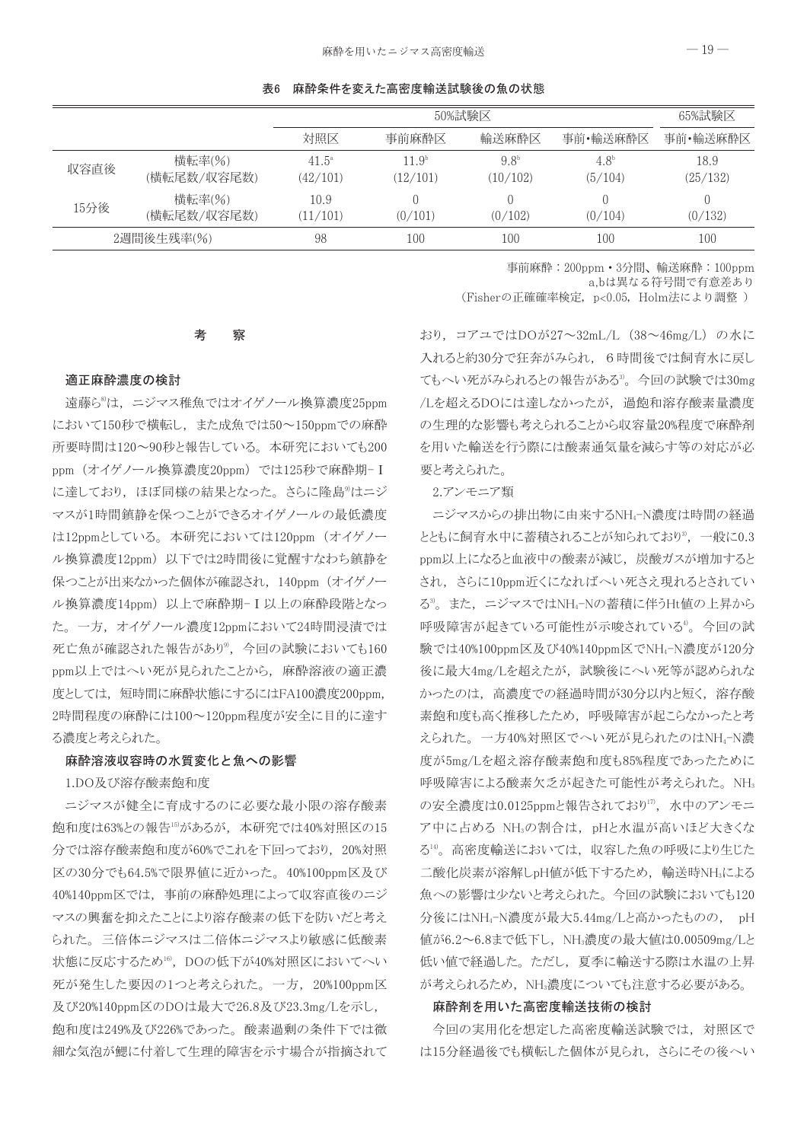表6 麻酔条件を変えた高密度輸送試験後の魚の状態

|            |                       | 50%試験区                     |                               |                              | 65%試験区                   |                  |
|------------|-----------------------|----------------------------|-------------------------------|------------------------------|--------------------------|------------------|
|            |                       | 対照区                        | 事前麻酔区                         | 輸送麻酔区                        | 事前•輸送麻酔区                 | 事前•輸送麻酔区         |
| 収容直後       | 横転率(%)<br>(横転尾数/収容尾数) | $41.5^{\circ}$<br>(42/101) | 11.9 <sup>b</sup><br>(12/101) | 9.8 <sup>b</sup><br>(10/102) | $4.8^{\circ}$<br>(5/104) | 18.9<br>(25/132) |
| 15分後       | 横転率(%)<br>(横転尾数/収容尾数) | 10.9<br>(11/101)           | (0/101)                       | (0/102)                      | (0/104)                  | (0/132)          |
| 2週間後生残率(%) |                       | 98                         | 100                           | 100                          | 100                      | 100              |

事前麻酔: 200ppm · 3分間、輸送麻酔: 100ppm a,bは異なる符号間で有意差あり

(Fisherの正確確率検定, p<0.05, Holm法により調整)

#### 考 察

# 適正麻酔濃度の検討

遠藤ら<sup>8</sup>は、ニジマス稚魚ではオイゲノール換算濃度25ppm において150秒で横転し、また成魚では50~150ppmでの麻酔 所要時間は120~90秒と報告している。本研究においても200 ppm (オイゲノール換算濃度20ppm) では125秒で麻酔期-I に達しており、ほぼ同様の結果となった。さらに隆島®はニジ マスが1時間鎮静を保つことができるオイゲノールの最低濃度 は12ppmとしている。本研究においては120ppm (オイゲノー ル換算濃度12ppm) 以下では2時間後に覚醒すなわち鎮静を 保つことが出来なかった個体が確認され, 140ppm (オイゲノー ル換算濃度14ppm) 以上で麻酔期-I以上の麻酔段階となっ た。一方, オイゲノール濃度12ppmにおいて24時間浸漬では 死亡魚が確認された報告があり<sup>9</sup>, 今回の試験においても160 ppm以上ではへい死が見られたことから、麻酔溶液の適正濃 度としては、短時間に麻酔状態にするにはFA100濃度200ppm, 2時間程度の麻酔には100~120ppm程度が安全に目的に達す る濃度と考えられた。

# 麻酔溶液収容時の水質変化と魚への影響

1.DO及び溶存酸素飽和度

ニジマスが健全に育成するのに必要な最小限の溶存酸素 飽和度は63%との報告15があるが、本研究では40%対照区の15 分では溶存酸素飽和度が60%でこれを下回っており,20%対照 区の30分でも64.5%で限界値に近かった。40%100ppm区及び 40%140ppm区では、事前の麻酔処理によって収容直後のニジ マスの興奮を抑えたことにより溶存酸素の低下を防いだと考え られた。三倍体ニジマスは二倍体ニジマスより敏感に低酸素 状態に反応するため16), DOの低下が40%対照区においてへい 死が発生した要因の1つと考えられた。一方, 20%100ppm区 及び20%140ppm区のDOは最大で26.8及び23.3mg/Lを示し, 飽和度は249%及び226%であった。酸素過剰の条件下では微 細な気泡が鰓に付着して生理的障害を示す場合が指摘されて

おり、コアユではDOが27~32mL/L (38~46mg/L) の水に 入れると約30分で狂奔がみられ、6時間後では飼育水に戻し てもへい死がみられるとの報告がある<sup>3</sup>。今回の試験では30mg /Lを超えるDOには達しなかったが、 過飽和溶存酸素量濃度 の生理的な影響も考えられることから収容量20%程度で麻酔剤 を用いた輸送を行う際には酸素通気量を減らす等の対応が必 要と考えられた。

# 2.アンモニア類

ニジマスからの排出物に由来するNH4-N濃度は時間の経過 とともに飼育水中に蓄積されることが知られており<sup>3</sup>, 一般に0.3 ppm以上になると血液中の酸素が減じ、炭酸ガスが増加すると され,さらに10ppm近くになればへい死さえ現れるとされてい る<sup>3</sup>。また、ニジマスではNH4-Nの蓄積に伴うHt値の上昇から 呼吸障害が起きている可能性が示唆されている4。今回の試 験では40%100ppm区及び40%140ppm区でNH<sub>4</sub>-N濃度が120分 後に最大4mg/Lを超えたが、試験後にへい死等が認められな かったのは、高濃度での経過時間が30分以内と短く、溶存酸 素飽和度も高く推移したため、呼吸障害が起こらなかったと考 えられた。一方40%対照区でへい死が見られたのはNH4-N濃 度が5mg/Lを超え溶存酸素飽和度も85%程度であったために 呼吸障害による酸素欠乏が起きた可能性が考えられた。NH3 の安全濃度は0.0125ppmと報告されており17, 水中のアンモニ ア中に占める NH3の割合は、pHと水温が高いほど大きくな る14)。高密度輸送においては、収容した魚の呼吸により生じた 二酸化炭素が溶解しpH値が低下するため、輸送時NH3による 魚への影響は少ないと考えられた。今回の試験においても120 分後にはNH4-N濃度が最大5.44mg/Lと高かったものの、 pH 値が6.2~6.8まで低下し、NH3濃度の最大値は0.00509mg/Lと 低い値で経過した。ただし、夏季に輸送する際は水温の上昇 が考えられるため、NH3濃度についても注意する必要がある。

# 麻酔剤を用いた高密度輸送技術の検討

今回の実用化を想定した高密度輸送試験では、対照区で は15分経過後でも横転した個体が見られ、さらにその後へい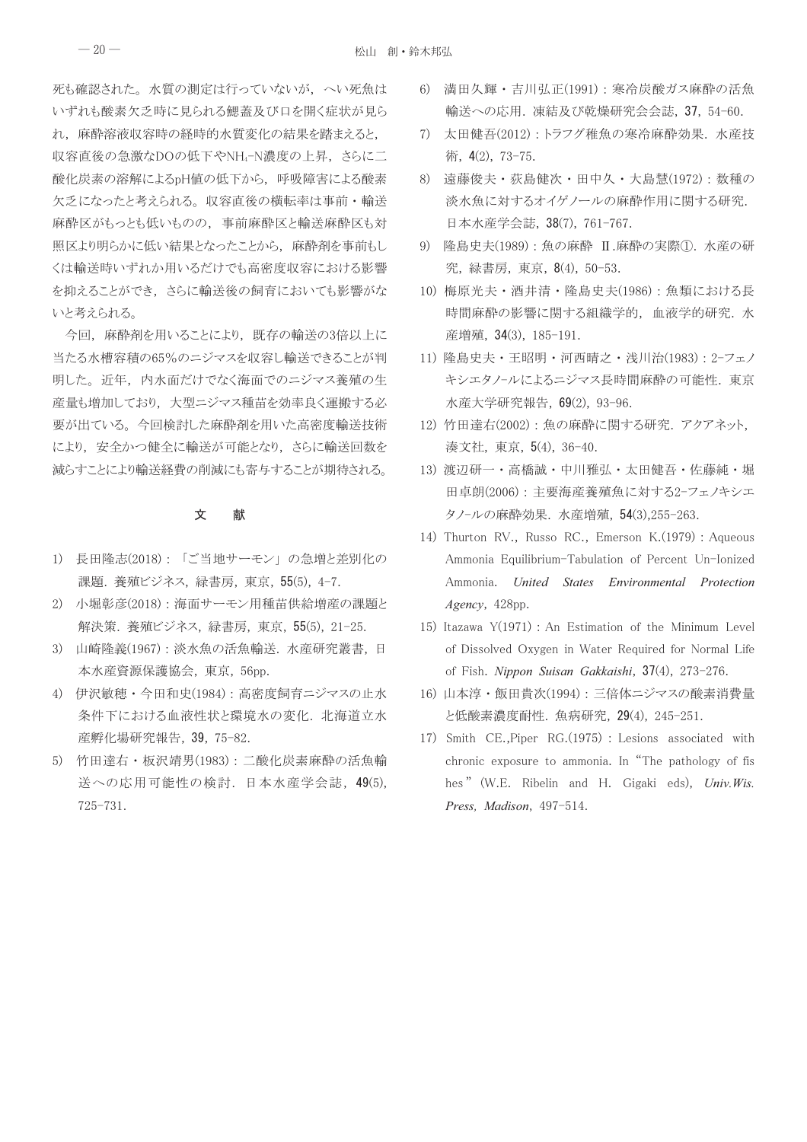死も確認された。水質の測定は行っていないが、へい死魚は いずれも酸素欠乏時に見られる鰓蓋及び口を開く症状が見ら れ、麻酔溶液収容時の経時的水質変化の結果を踏まえると、 収容直後の急激なDOの低下やNH4-N濃度の上昇、さらに二 酸化炭素の溶解によるpH値の低下から、呼吸障害による酸素 欠乏になったと考えられる。収容直後の横転率は事前・輸送 麻酔区がもっとも低いものの、事前麻酔区と輸送麻酔区も対 照区より明らかに低い結果となったことから、麻酔剤を事前もし くは輸送時いずれか用いるだけでも高密度収容における影響 を抑えることができ、さらに輸送後の飼育においても影響がな いと考えられる。

今回、麻酔剤を用いることにより、既存の輸送の3倍以上に 当たる水槽容積の65%のニジマスを収容し輸送できることが判 明した。近年、内水面だけでなく海面でのニジマス養殖の生 産量も増加しており、大型ニジマス種苗を効率良く運搬する必 要が出ている。今回検討した麻酔剤を用いた高密度輸送技術 により、安全かつ健全に輸送が可能となり、さらに輸送回数を 減らすことにより輸送経費の削減にも寄与することが期待される。

#### 文 献

- 1) 長田隆志(2018):「ご当地サーモン」の急増と差別化の 課題. 養殖ビジネス, 緑書房, 東京, 55(5), 4-7.
- 2) 小堀彰彦(2018): 海面サーモン用種苗供給増産の課題と 解決策. 養殖ビジネス, 緑書房, 東京, 55(5), 21-25.
- 3) 山崎隆義(1967): 淡水魚の活魚輸送. 水産研究叢書, 日 本水産資源保護協会, 東京, 56pp.
- 4) 伊沢敏穂・今田和史(1984): 高密度飼育ニジマスの止水 条件下における血液性状と環境水の変化. 北海道立水 産孵化場研究報告, 39, 75-82.
- 5) 竹田達右·板沢靖男(1983): 二酸化炭素麻酔の活魚輸 送への応用可能性の検討. 日本水産学会誌, 49(5), 725-731.
- 6) 満田久輝·吉川弘正(1991): 寒冷炭酸ガス麻酔の活魚 輸送への応用. 凍結及び乾燥研究会会誌, 37, 54-60.
- 7) 太田健吾(2012):トラフグ稚魚の寒冷麻酔効果. 水産技 術, 4(2), 73-75.
- 8) 遠藤俊夫・荻島健次・田中久・大島慧(1972): 数種の 淡水魚に対するオイゲノールの麻酔作用に関する研究. 日本水産学会誌, 38(7), 761-767.
- 9) 隆島史夫(1989): 魚の麻酔 II.麻酔の実際①. 水産の研 究, 緑書房, 東京, 8(4), 50-53.
- 10) 梅原光夫·酒井清·隆島史夫(1986): 魚類における長 時間麻酔の影響に関する組織学的, 血液学的研究. 水 産増殖, 34(3), 185-191.
- 11) 隆島史夫・王昭明・河西晴之・浅川治(1983): 2-フェノ キシエタノールによるニジマス長時間麻酔の可能性. 東京 水産大学研究報告, 69(2), 93-96.
- 12) 竹田達右(2002):魚の麻酔に関する研究. アクアネット, 湊文社, 東京, 5(4), 36-40.
- 13) 渡辺研一・高橋誠・中川雅弘・太田健吾・佐藤純・堀 田卓朗(2006): 主要海産養殖魚に対する2-フェノキシエ タノールの麻酔効果. 水産増殖, 54(3),255-263.
- 14) Thurton RV., Russo RC., Emerson K. (1979) : Aqueous Ammonia Equilibrium-Tabulation of Percent Un-Ionized Ammonia. United States Environmental Protection Agency, 428pp.
- 15) Itazawa Y(1971) : An Estimation of the Minimum Level of Dissolved Oxygen in Water Required for Normal Life of Fish. Nippon Suisan Gakkaishi, 37(4), 273-276.
- 16) 山本淳·飯田貴次(1994): 三倍体ニジマスの酸素消費量 と低酸素濃度耐性. 魚病研究, 29(4), 245-251.
- 17) Smith CE., Piper RG. (1975) : Lesions associated with chronic exposure to ammonia. In "The pathology of fis hes" (W.E. Ribelin and H. Gigaki eds), Univ. Wis. Press, Madison, 497-514.